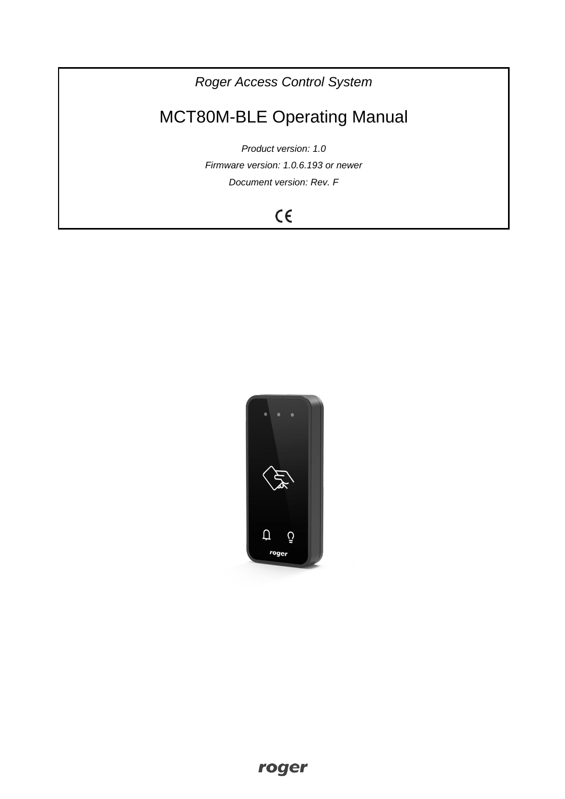*Roger Access Control System*

# MCT80M-BLE Operating Manual

*Product version: 1.0 Firmware version: 1.0.6.193 or newer Document version: Rev. F*

# $C \in$

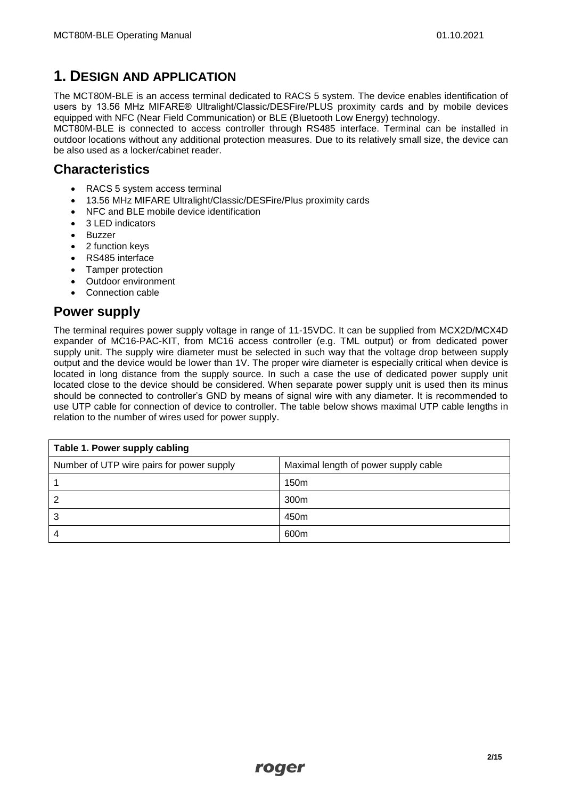# **1. DESIGN AND APPLICATION**

The MCT80M-BLE is an access terminal dedicated to RACS 5 system. The device enables identification of users by 13.56 MHz MIFARE® Ultralight/Classic/DESFire/PLUS proximity cards and by mobile devices equipped with NFC (Near Field Communication) or BLE (Bluetooth Low Energy) technology.

MCT80M-BLE is connected to access controller through RS485 interface. Terminal can be installed in outdoor locations without any additional protection measures. Due to its relatively small size, the device can be also used as a locker/cabinet reader.

#### **Characteristics**

- RACS 5 system access terminal
- 13.56 MHz MIFARE Ultralight/Classic/DESFire/Plus proximity cards
- NFC and BLE mobile device identification
- 3 LED indicators
- Buzzer
- 2 function keys
- RS485 interface
- Tamper protection
- Outdoor environment
- Connection cable

### **Power supply**

The terminal requires power supply voltage in range of 11-15VDC. It can be supplied from MCX2D/MCX4D expander of MC16-PAC-KIT, from MC16 access controller (e.g. TML output) or from dedicated power supply unit. The supply wire diameter must be selected in such way that the voltage drop between supply output and the device would be lower than 1V. The proper wire diameter is especially critical when device is located in long distance from the supply source. In such a case the use of dedicated power supply unit located close to the device should be considered. When separate power supply unit is used then its minus should be connected to controller's GND by means of signal wire with any diameter. It is recommended to use UTP cable for connection of device to controller. The table below shows maximal UTP cable lengths in relation to the number of wires used for power supply.

| Table 1. Power supply cabling             |                                      |  |
|-------------------------------------------|--------------------------------------|--|
| Number of UTP wire pairs for power supply | Maximal length of power supply cable |  |
|                                           | 150 <sub>m</sub>                     |  |
| 2                                         | 300 <sub>m</sub>                     |  |
| 3                                         | 450 <sub>m</sub>                     |  |
|                                           | 600m                                 |  |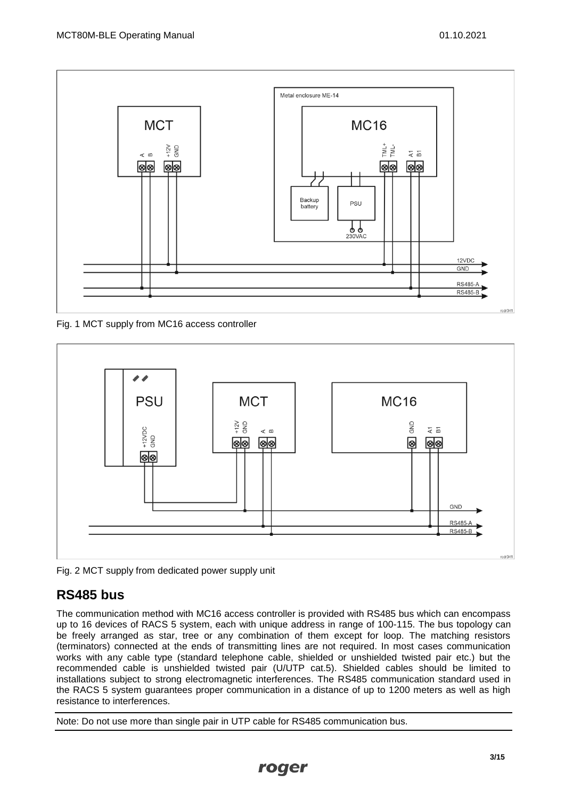

Fig. 1 MCT supply from MC16 access controller



Fig. 2 MCT supply from dedicated power supply unit

# **RS485 bus**

The communication method with MC16 access controller is provided with RS485 bus which can encompass up to 16 devices of RACS 5 system, each with unique address in range of 100-115. The bus topology can be freely arranged as star, tree or any combination of them except for loop. The matching resistors (terminators) connected at the ends of transmitting lines are not required. In most cases communication works with any cable type (standard telephone cable, shielded or unshielded twisted pair etc.) but the recommended cable is unshielded twisted pair (U/UTP cat.5). Shielded cables should be limited to installations subject to strong electromagnetic interferences. The RS485 communication standard used in the RACS 5 system guarantees proper communication in a distance of up to 1200 meters as well as high resistance to interferences.

Note: Do not use more than single pair in UTP cable for RS485 communication bus.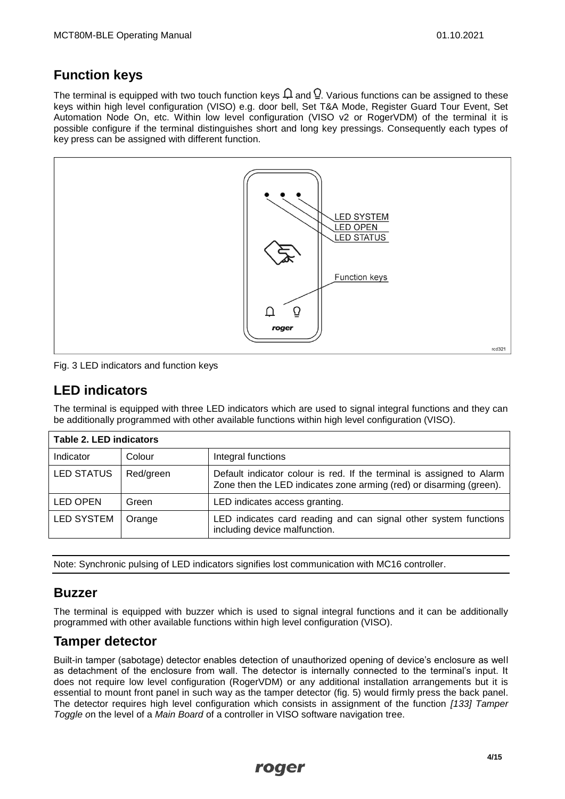# **Function keys**

The terminal is equipped with two touch function keys  $\Omega$  and  $\Omega$ . Various functions can be assigned to these keys within high level configuration (VISO) e.g. door bell, Set T&A Mode, Register Guard Tour Event, Set Automation Node On, etc. Within low level configuration (VISO v2 or RogerVDM) of the terminal it is possible configure if the terminal distinguishes short and long key pressings. Consequently each types of key press can be assigned with different function.



Fig. 3 LED indicators and function keys

# **LED indicators**

The terminal is equipped with three LED indicators which are used to signal integral functions and they can be additionally programmed with other available functions within high level configuration (VISO).

| <b>Table 2. LED indicators</b> |           |                                                                                                                                              |
|--------------------------------|-----------|----------------------------------------------------------------------------------------------------------------------------------------------|
| Indicator                      | Colour    | Integral functions                                                                                                                           |
| <b>LED STATUS</b>              | Red/green | Default indicator colour is red. If the terminal is assigned to Alarm<br>Zone then the LED indicates zone arming (red) or disarming (green). |
| <b>LED OPEN</b>                | Green     | LED indicates access granting.                                                                                                               |
| LED SYSTEM                     | Orange    | LED indicates card reading and can signal other system functions<br>including device malfunction.                                            |

Note: Synchronic pulsing of LED indicators signifies lost communication with MC16 controller.

#### **Buzzer**

The terminal is equipped with buzzer which is used to signal integral functions and it can be additionally programmed with other available functions within high level configuration (VISO).

#### **Tamper detector**

Built-in tamper (sabotage) detector enables detection of unauthorized opening of device's enclosure as well as detachment of the enclosure from wall. The detector is internally connected to the terminal's input. It does not require low level configuration (RogerVDM) or any additional installation arrangements but it is essential to mount front panel in such way as the tamper detector (fig. 5) would firmly press the back panel. The detector requires high level configuration which consists in assignment of the function *[133] Tamper Toggle o*n the level of a *Main Board* of a controller in VISO software navigation tree.

roger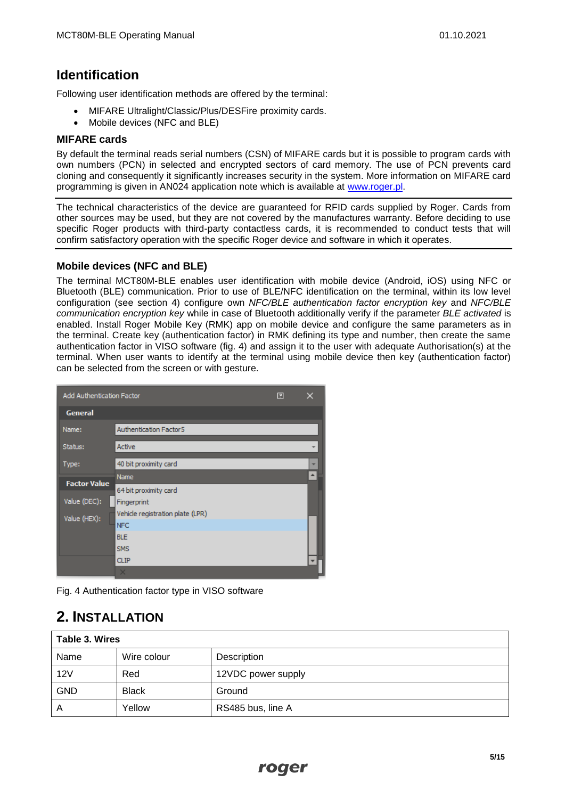### **Identification**

Following user identification methods are offered by the terminal:

- MIFARE Ultralight/Classic/Plus/DESFire proximity cards.
- Mobile devices (NFC and BLE)

#### **MIFARE cards**

By default the terminal reads serial numbers (CSN) of MIFARE cards but it is possible to program cards with own numbers (PCN) in selected and encrypted sectors of card memory. The use of PCN prevents card cloning and consequently it significantly increases security in the system. More information on MIFARE card programming is given in AN024 application note which is available at [www.roger.pl.](http://www.roger.pl/)

The technical characteristics of the device are guaranteed for RFID cards supplied by Roger. Cards from other sources may be used, but they are not covered by the manufactures warranty. Before deciding to use specific Roger products with third-party contactless cards, it is recommended to conduct tests that will confirm satisfactory operation with the specific Roger device and software in which it operates.

#### **Mobile devices (NFC and BLE)**

The terminal MCT80M-BLE enables user identification with mobile device (Android, iOS) using NFC or Bluetooth (BLE) communication. Prior to use of BLE/NFC identification on the terminal, within its low level configuration (see section 4) configure own *NFC/BLE authentication factor encryption key* and *NFC/BLE communication encryption key* while in case of Bluetooth additionally verify if the parameter *BLE activated* is enabled. Install Roger Mobile Key (RMK) app on mobile device and configure the same parameters as in the terminal. Create key (authentication factor) in RMK defining its type and number, then create the same authentication factor in VISO software (fig. 4) and assign it to the user with adequate Authorisation(s) at the terminal. When user wants to identify at the terminal using mobile device then key (authentication factor) can be selected from the screen or with gesture.

| <b>Add Authentication Factor</b><br>囝 |                                  |  |   |
|---------------------------------------|----------------------------------|--|---|
| <b>General</b>                        |                                  |  |   |
| Name:                                 | Authentication Factor 5          |  |   |
| Status:                               | Active                           |  |   |
| Type:                                 | 40 bit proximity card            |  | ٠ |
| <b>Factor Value</b>                   | Name                             |  |   |
|                                       | 64 bit proximity card            |  |   |
| Value (DEC):                          | Fingerprint                      |  |   |
| Value (HEX):                          | Vehicle registration plate (LPR) |  |   |
|                                       | <b>NFC</b>                       |  |   |
|                                       | <b>BLE</b>                       |  |   |
|                                       | <b>SMS</b>                       |  |   |
|                                       | <b>CLIP</b>                      |  |   |
|                                       | ×                                |  |   |

Fig. 4 Authentication factor type in VISO software

# **2. INSTALLATION**

| Table 3. Wires |              |                    |
|----------------|--------------|--------------------|
| Name           | Wire colour  | Description        |
| 12V            | Red          | 12VDC power supply |
| <b>GND</b>     | <b>Black</b> | Ground             |
| A              | Yellow       | RS485 bus, line A  |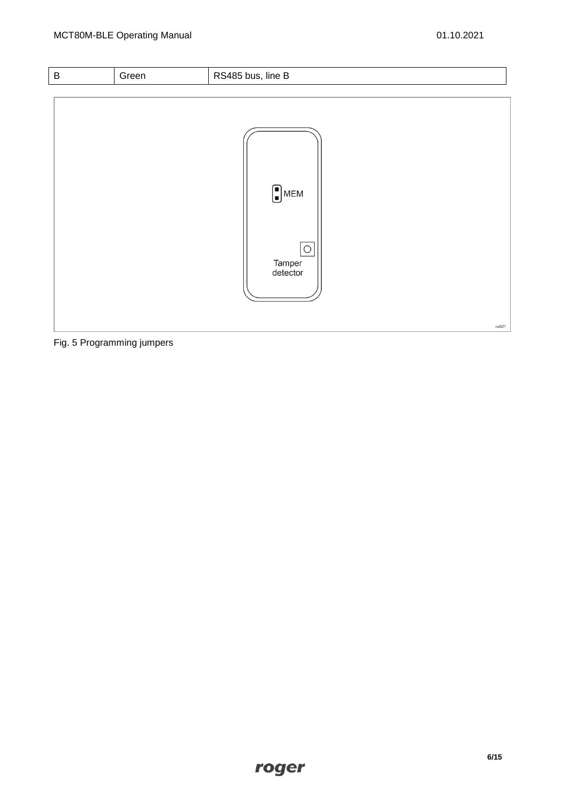```
B Green | RS485 bus, line B
                                              \bigcap_{i=1}^{n} MEM
                                                      \boxed{\bigcirc}Tamper<br>detector
                                                                                                          rod321
```
Fig. 5 Programming jumpers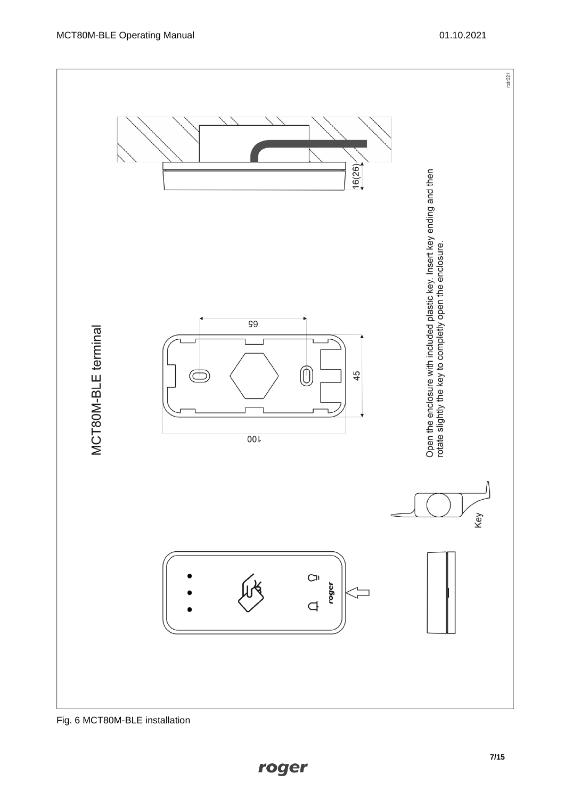

Fig. 6 MCT80M-BLE installation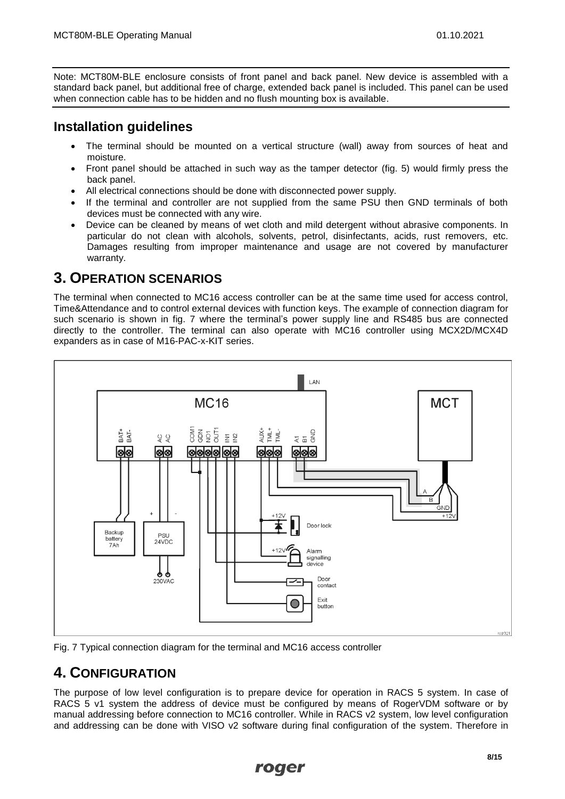Note: MCT80M-BLE enclosure consists of front panel and back panel. New device is assembled with a standard back panel, but additional free of charge, extended back panel is included. This panel can be used when connection cable has to be hidden and no flush mounting box is available.

# **Installation guidelines**

- The terminal should be mounted on a vertical structure (wall) away from sources of heat and moisture.
- Front panel should be attached in such way as the tamper detector (fig. 5) would firmly press the back panel.
- All electrical connections should be done with disconnected power supply.
- If the terminal and controller are not supplied from the same PSU then GND terminals of both devices must be connected with any wire.
- Device can be cleaned by means of wet cloth and mild detergent without abrasive components. In particular do not clean with alcohols, solvents, petrol, disinfectants, acids, rust removers, etc. Damages resulting from improper maintenance and usage are not covered by manufacturer warranty.

# **3. OPERATION SCENARIOS**

The terminal when connected to MC16 access controller can be at the same time used for access control, Time&Attendance and to control external devices with function keys. The example of connection diagram for such scenario is shown in fig. 7 where the terminal's power supply line and RS485 bus are connected directly to the controller. The terminal can also operate with MC16 controller using MCX2D/MCX4D expanders as in case of M16-PAC-x-KIT series.



Fig. 7 Typical connection diagram for the terminal and MC16 access controller

# **4. CONFIGURATION**

The purpose of low level configuration is to prepare device for operation in RACS 5 system. In case of RACS 5 v1 system the address of device must be configured by means of RogerVDM software or by manual addressing before connection to MC16 controller. While in RACS v2 system, low level configuration and addressing can be done with VISO v2 software during final configuration of the system. Therefore in

#### roger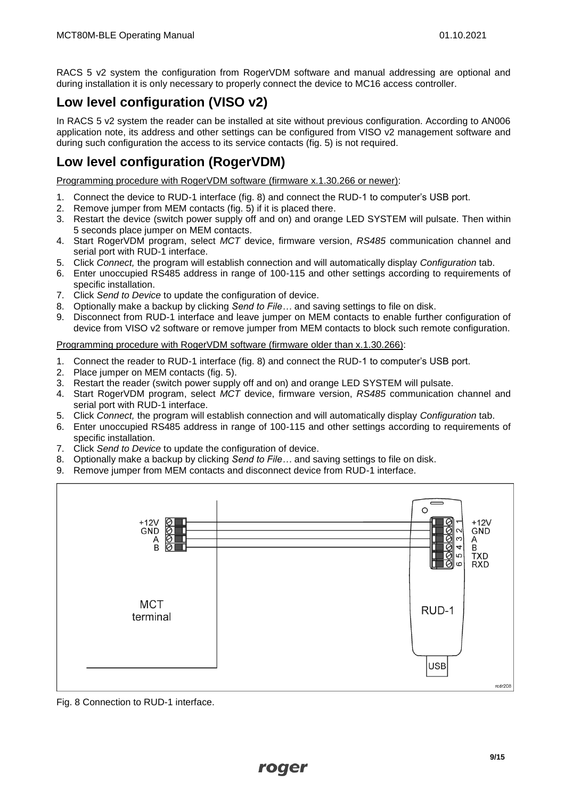RACS 5 v2 system the configuration from RogerVDM software and manual addressing are optional and during installation it is only necessary to properly connect the device to MC16 access controller.

# **Low level configuration (VISO v2)**

In RACS 5 v2 system the reader can be installed at site without previous configuration. According to AN006 application note, its address and other settings can be configured from VISO v2 management software and during such configuration the access to its service contacts (fig. 5) is not required.

# **Low level configuration (RogerVDM)**

Programming procedure with RogerVDM software (firmware x.1.30.266 or newer):

- 1. Connect the device to RUD-1 interface (fig. 8) and connect the RUD-1 to computer's USB port.
- 2. Remove jumper from MEM contacts (fig. 5) if it is placed there.
- 3. Restart the device (switch power supply off and on) and orange LED SYSTEM will pulsate. Then within 5 seconds place jumper on MEM contacts.
- 4. Start RogerVDM program, select *MCT* device, firmware version, *RS485* communication channel and serial port with RUD-1 interface.
- 5. Click *Connect,* the program will establish connection and will automatically display *Configuration* tab.
- 6. Enter unoccupied RS485 address in range of 100-115 and other settings according to requirements of specific installation.
- 7. Click *Send to Device* to update the configuration of device.
- 8. Optionally make a backup by clicking *Send to File…* and saving settings to file on disk.
- 9. Disconnect from RUD-1 interface and leave jumper on MEM contacts to enable further configuration of device from VISO v2 software or remove jumper from MEM contacts to block such remote configuration.

Programming procedure with RogerVDM software (firmware older than x.1.30.266):

- 1. Connect the reader to RUD-1 interface (fig. 8) and connect the RUD-1 to computer's USB port.
- 2. Place jumper on MEM contacts (fig. 5).
- 3. Restart the reader (switch power supply off and on) and orange LED SYSTEM will pulsate.
- 4. Start RogerVDM program, select *MCT* device, firmware version, *RS485* communication channel and serial port with RUD-1 interface.
- 5. Click *Connect,* the program will establish connection and will automatically display *Configuration* tab.
- 6. Enter unoccupied RS485 address in range of 100-115 and other settings according to requirements of specific installation.
- 7. Click *Send to Device* to update the configuration of device.
- 8. Optionally make a backup by clicking *Send to File…* and saving settings to file on disk.
- 9. Remove jumper from MEM contacts and disconnect device from RUD-1 interface.



Fig. 8 Connection to RUD-1 interface.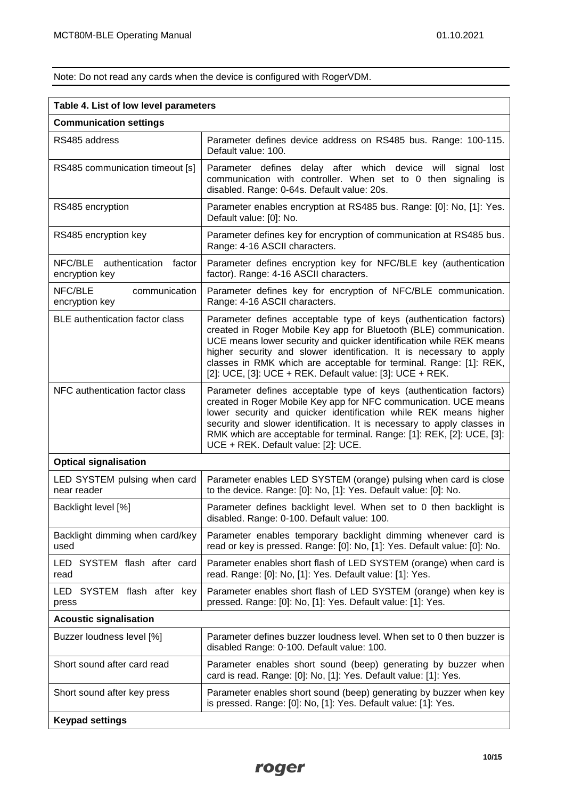Note: Do not read any cards when the device is configured with RogerVDM.

| Table 4. List of low level parameters           |                                                                                                                                                                                                                                                                                                                                                                                                                          |  |
|-------------------------------------------------|--------------------------------------------------------------------------------------------------------------------------------------------------------------------------------------------------------------------------------------------------------------------------------------------------------------------------------------------------------------------------------------------------------------------------|--|
| <b>Communication settings</b>                   |                                                                                                                                                                                                                                                                                                                                                                                                                          |  |
| RS485 address                                   | Parameter defines device address on RS485 bus. Range: 100-115.<br>Default value: 100.                                                                                                                                                                                                                                                                                                                                    |  |
| RS485 communication timeout [s]                 | Parameter defines delay after which device will signal<br>lost<br>communication with controller. When set to 0 then signaling is<br>disabled. Range: 0-64s. Default value: 20s.                                                                                                                                                                                                                                          |  |
| RS485 encryption                                | Parameter enables encryption at RS485 bus. Range: [0]: No, [1]: Yes.<br>Default value: [0]: No.                                                                                                                                                                                                                                                                                                                          |  |
| RS485 encryption key                            | Parameter defines key for encryption of communication at RS485 bus.<br>Range: 4-16 ASCII characters.                                                                                                                                                                                                                                                                                                                     |  |
| NFC/BLE authentication factor<br>encryption key | Parameter defines encryption key for NFC/BLE key (authentication<br>factor). Range: 4-16 ASCII characters.                                                                                                                                                                                                                                                                                                               |  |
| NFC/BLE<br>communication<br>encryption key      | Parameter defines key for encryption of NFC/BLE communication.<br>Range: 4-16 ASCII characters.                                                                                                                                                                                                                                                                                                                          |  |
| <b>BLE</b> authentication factor class          | Parameter defines acceptable type of keys (authentication factors)<br>created in Roger Mobile Key app for Bluetooth (BLE) communication.<br>UCE means lower security and quicker identification while REK means<br>higher security and slower identification. It is necessary to apply<br>classes in RMK which are acceptable for terminal. Range: [1]: REK,<br>[2]: UCE, [3]: UCE + REK. Default value: [3]: UCE + REK. |  |
| NFC authentication factor class                 | Parameter defines acceptable type of keys (authentication factors)<br>created in Roger Mobile Key app for NFC communication. UCE means<br>lower security and quicker identification while REK means higher<br>security and slower identification. It is necessary to apply classes in<br>RMK which are acceptable for terminal. Range: [1]: REK, [2]: UCE, [3]:<br>UCE + REK. Default value: [2]: UCE.                   |  |
| <b>Optical signalisation</b>                    |                                                                                                                                                                                                                                                                                                                                                                                                                          |  |
| LED SYSTEM pulsing when card<br>near reader     | Parameter enables LED SYSTEM (orange) pulsing when card is close<br>to the device. Range: [0]: No, [1]: Yes. Default value: [0]: No.                                                                                                                                                                                                                                                                                     |  |
| Backlight level [%]                             | Parameter defines backlight level. When set to 0 then backlight is<br>disabled. Range: 0-100. Default value: 100.                                                                                                                                                                                                                                                                                                        |  |
| Backlight dimming when card/key<br>used         | Parameter enables temporary backlight dimming whenever card is<br>read or key is pressed. Range: [0]: No, [1]: Yes. Default value: [0]: No.                                                                                                                                                                                                                                                                              |  |
| LED SYSTEM flash after card<br>read             | Parameter enables short flash of LED SYSTEM (orange) when card is<br>read. Range: [0]: No, [1]: Yes. Default value: [1]: Yes.                                                                                                                                                                                                                                                                                            |  |
| LED SYSTEM flash after key<br>press             | Parameter enables short flash of LED SYSTEM (orange) when key is<br>pressed. Range: [0]: No, [1]: Yes. Default value: [1]: Yes.                                                                                                                                                                                                                                                                                          |  |
| <b>Acoustic signalisation</b>                   |                                                                                                                                                                                                                                                                                                                                                                                                                          |  |
| Buzzer loudness level [%]                       | Parameter defines buzzer loudness level. When set to 0 then buzzer is<br>disabled Range: 0-100. Default value: 100.                                                                                                                                                                                                                                                                                                      |  |
| Short sound after card read                     | Parameter enables short sound (beep) generating by buzzer when<br>card is read. Range: [0]: No, [1]: Yes. Default value: [1]: Yes.                                                                                                                                                                                                                                                                                       |  |
| Short sound after key press                     | Parameter enables short sound (beep) generating by buzzer when key<br>is pressed. Range: [0]: No, [1]: Yes. Default value: [1]: Yes.                                                                                                                                                                                                                                                                                     |  |
| <b>Keypad settings</b>                          |                                                                                                                                                                                                                                                                                                                                                                                                                          |  |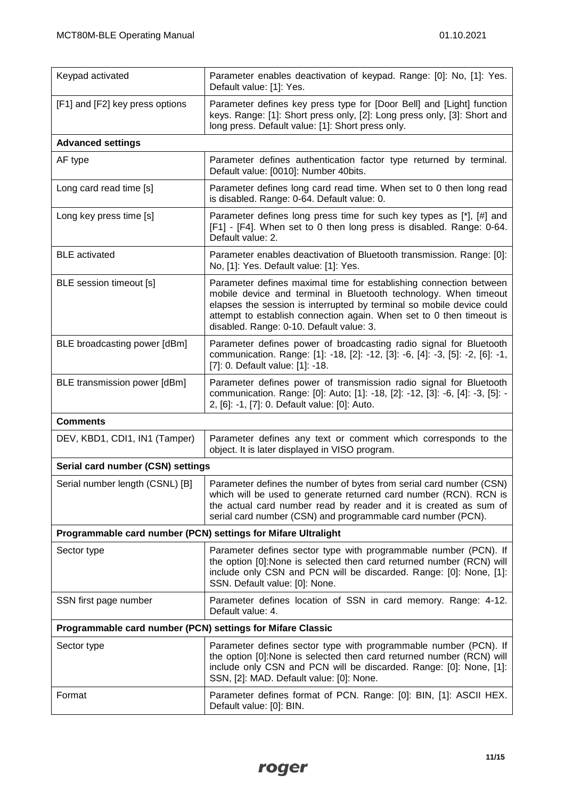| Keypad activated                                              | Parameter enables deactivation of keypad. Range: [0]: No, [1]: Yes.<br>Default value: [1]: Yes.                                                                                                                                                                                                                                     |  |
|---------------------------------------------------------------|-------------------------------------------------------------------------------------------------------------------------------------------------------------------------------------------------------------------------------------------------------------------------------------------------------------------------------------|--|
| [F1] and [F2] key press options                               | Parameter defines key press type for [Door Bell] and [Light] function<br>keys. Range: [1]: Short press only, [2]: Long press only, [3]: Short and<br>long press. Default value: [1]: Short press only.                                                                                                                              |  |
| <b>Advanced settings</b>                                      |                                                                                                                                                                                                                                                                                                                                     |  |
| AF type                                                       | Parameter defines authentication factor type returned by terminal.<br>Default value: [0010]: Number 40bits.                                                                                                                                                                                                                         |  |
| Long card read time [s]                                       | Parameter defines long card read time. When set to 0 then long read<br>is disabled. Range: 0-64. Default value: 0.                                                                                                                                                                                                                  |  |
| Long key press time [s]                                       | Parameter defines long press time for such key types as [*], [#] and<br>[F1] - [F4]. When set to 0 then long press is disabled. Range: 0-64.<br>Default value: 2.                                                                                                                                                                   |  |
| <b>BLE</b> activated                                          | Parameter enables deactivation of Bluetooth transmission. Range: [0]:<br>No, [1]: Yes. Default value: [1]: Yes.                                                                                                                                                                                                                     |  |
| BLE session timeout [s]                                       | Parameter defines maximal time for establishing connection between<br>mobile device and terminal in Bluetooth technology. When timeout<br>elapses the session is interrupted by terminal so mobile device could<br>attempt to establish connection again. When set to 0 then timeout is<br>disabled. Range: 0-10. Default value: 3. |  |
| BLE broadcasting power [dBm]                                  | Parameter defines power of broadcasting radio signal for Bluetooth<br>communication. Range: [1]: -18, [2]: -12, [3]: -6, [4]: -3, [5]: -2, [6]: -1,<br>[7]: 0. Default value: [1]: -18.                                                                                                                                             |  |
| BLE transmission power [dBm]                                  | Parameter defines power of transmission radio signal for Bluetooth<br>communication. Range: [0]: Auto; [1]: -18, [2]: -12, [3]: -6, [4]: -3, [5]: -<br>2, [6]: -1, [7]: 0. Default value: [0]: Auto.                                                                                                                                |  |
| <b>Comments</b>                                               |                                                                                                                                                                                                                                                                                                                                     |  |
| DEV, KBD1, CDI1, IN1 (Tamper)                                 | Parameter defines any text or comment which corresponds to the<br>object. It is later displayed in VISO program.                                                                                                                                                                                                                    |  |
| Serial card number (CSN) settings                             |                                                                                                                                                                                                                                                                                                                                     |  |
| Serial number length (CSNL) [B]                               | Parameter defines the number of bytes from serial card number (CSN)<br>which will be used to generate returned card number (RCN). RCN is<br>the actual card number read by reader and it is created as sum of<br>serial card number (CSN) and programmable card number (PCN).                                                       |  |
| Programmable card number (PCN) settings for Mifare Ultralight |                                                                                                                                                                                                                                                                                                                                     |  |
| Sector type                                                   | Parameter defines sector type with programmable number (PCN). If<br>the option [0]:None is selected then card returned number (RCN) will<br>include only CSN and PCN will be discarded. Range: [0]: None, [1]:<br>SSN. Default value: [0]: None.                                                                                    |  |
| SSN first page number                                         | Parameter defines location of SSN in card memory. Range: 4-12.<br>Default value: 4.                                                                                                                                                                                                                                                 |  |
| Programmable card number (PCN) settings for Mifare Classic    |                                                                                                                                                                                                                                                                                                                                     |  |
| Sector type                                                   | Parameter defines sector type with programmable number (PCN). If<br>the option [0]:None is selected then card returned number (RCN) will<br>include only CSN and PCN will be discarded. Range: [0]: None, [1]:<br>SSN, [2]: MAD. Default value: [0]: None.                                                                          |  |
| Format                                                        | Parameter defines format of PCN. Range: [0]: BIN, [1]: ASCII HEX.<br>Default value: [0]: BIN.                                                                                                                                                                                                                                       |  |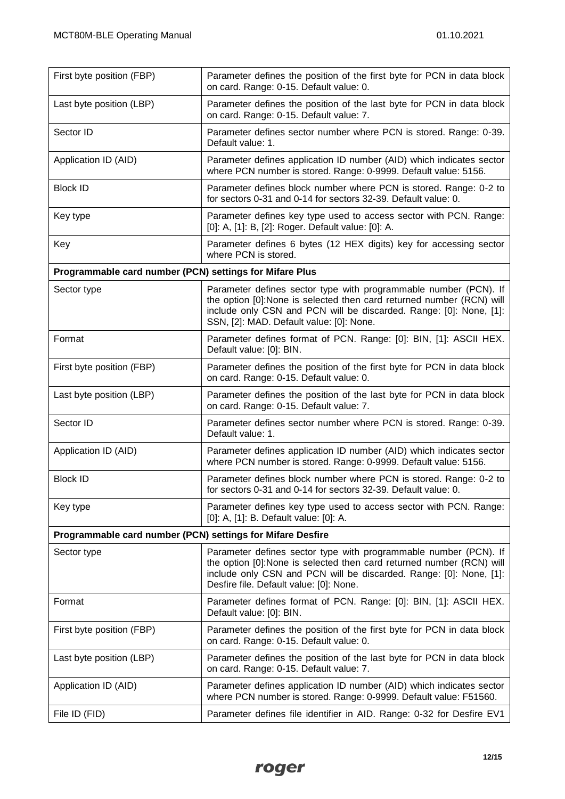| First byte position (FBP)                                  | Parameter defines the position of the first byte for PCN in data block<br>on card. Range: 0-15. Default value: 0.                                                                                                                                          |
|------------------------------------------------------------|------------------------------------------------------------------------------------------------------------------------------------------------------------------------------------------------------------------------------------------------------------|
| Last byte position (LBP)                                   | Parameter defines the position of the last byte for PCN in data block<br>on card. Range: 0-15. Default value: 7.                                                                                                                                           |
| Sector ID                                                  | Parameter defines sector number where PCN is stored. Range: 0-39.<br>Default value: 1.                                                                                                                                                                     |
| Application ID (AID)                                       | Parameter defines application ID number (AID) which indicates sector<br>where PCN number is stored. Range: 0-9999. Default value: 5156.                                                                                                                    |
| <b>Block ID</b>                                            | Parameter defines block number where PCN is stored. Range: 0-2 to<br>for sectors 0-31 and 0-14 for sectors 32-39. Default value: 0.                                                                                                                        |
| Key type                                                   | Parameter defines key type used to access sector with PCN. Range:<br>[0]: A, [1]: B, [2]: Roger. Default value: [0]: A.                                                                                                                                    |
| Key                                                        | Parameter defines 6 bytes (12 HEX digits) key for accessing sector<br>where PCN is stored.                                                                                                                                                                 |
| Programmable card number (PCN) settings for Mifare Plus    |                                                                                                                                                                                                                                                            |
| Sector type                                                | Parameter defines sector type with programmable number (PCN). If<br>the option [0]:None is selected then card returned number (RCN) will<br>include only CSN and PCN will be discarded. Range: [0]: None, [1]:<br>SSN, [2]: MAD. Default value: [0]: None. |
| Format                                                     | Parameter defines format of PCN. Range: [0]: BIN, [1]: ASCII HEX.<br>Default value: [0]: BIN.                                                                                                                                                              |
| First byte position (FBP)                                  | Parameter defines the position of the first byte for PCN in data block<br>on card. Range: 0-15. Default value: 0.                                                                                                                                          |
| Last byte position (LBP)                                   | Parameter defines the position of the last byte for PCN in data block<br>on card. Range: 0-15. Default value: 7.                                                                                                                                           |
| Sector ID                                                  | Parameter defines sector number where PCN is stored. Range: 0-39.<br>Default value: 1.                                                                                                                                                                     |
| Application ID (AID)                                       | Parameter defines application ID number (AID) which indicates sector<br>where PCN number is stored. Range: 0-9999. Default value: 5156.                                                                                                                    |
| <b>Block ID</b>                                            | Parameter defines block number where PCN is stored. Range: 0-2 to<br>for sectors 0-31 and 0-14 for sectors 32-39. Default value: 0.                                                                                                                        |
| Key type                                                   | Parameter defines key type used to access sector with PCN. Range:<br>[0]: A, [1]: B. Default value: [0]: A.                                                                                                                                                |
| Programmable card number (PCN) settings for Mifare Desfire |                                                                                                                                                                                                                                                            |
| Sector type                                                | Parameter defines sector type with programmable number (PCN). If<br>the option [0]:None is selected then card returned number (RCN) will<br>include only CSN and PCN will be discarded. Range: [0]: None, [1]:<br>Desfire file. Default value: [0]: None.  |
| Format                                                     | Parameter defines format of PCN. Range: [0]: BIN, [1]: ASCII HEX.<br>Default value: [0]: BIN.                                                                                                                                                              |
| First byte position (FBP)                                  | Parameter defines the position of the first byte for PCN in data block<br>on card. Range: 0-15. Default value: 0.                                                                                                                                          |
| Last byte position (LBP)                                   | Parameter defines the position of the last byte for PCN in data block<br>on card. Range: 0-15. Default value: 7.                                                                                                                                           |
| Application ID (AID)                                       | Parameter defines application ID number (AID) which indicates sector<br>where PCN number is stored. Range: 0-9999. Default value: F51560.                                                                                                                  |
| File ID (FID)                                              | Parameter defines file identifier in AID. Range: 0-32 for Desfire EV1                                                                                                                                                                                      |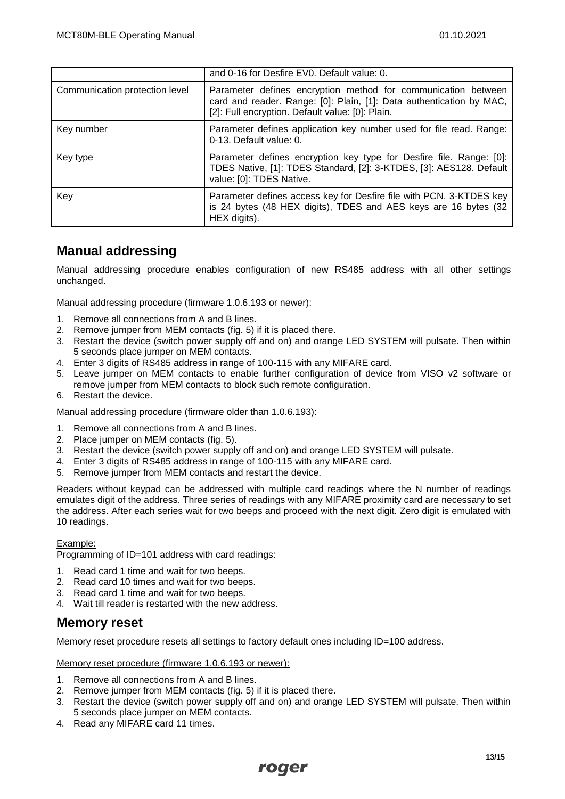|                                | and 0-16 for Desfire EV0. Default value: 0.                                                                                                                                               |
|--------------------------------|-------------------------------------------------------------------------------------------------------------------------------------------------------------------------------------------|
| Communication protection level | Parameter defines encryption method for communication between<br>card and reader. Range: [0]: Plain, [1]: Data authentication by MAC,<br>[2]: Full encryption. Default value: [0]: Plain. |
| Key number                     | Parameter defines application key number used for file read. Range:<br>0-13. Default value: 0.                                                                                            |
| Key type                       | Parameter defines encryption key type for Desfire file. Range: [0]:<br>TDES Native, [1]: TDES Standard, [2]: 3-KTDES, [3]: AES128. Default<br>value: [0]: TDES Native.                    |
| Key                            | Parameter defines access key for Desfire file with PCN. 3-KTDES key<br>is 24 bytes (48 HEX digits), TDES and AES keys are 16 bytes (32<br>HEX digits).                                    |

### **Manual addressing**

Manual addressing procedure enables configuration of new RS485 address with all other settings unchanged.

Manual addressing procedure (firmware 1.0.6.193 or newer):

- 1. Remove all connections from A and B lines.
- 2. Remove jumper from MEM contacts (fig. 5) if it is placed there.
- 3. Restart the device (switch power supply off and on) and orange LED SYSTEM will pulsate. Then within 5 seconds place jumper on MEM contacts.
- 4. Enter 3 digits of RS485 address in range of 100-115 with any MIFARE card.
- 5. Leave jumper on MEM contacts to enable further configuration of device from VISO v2 software or remove jumper from MEM contacts to block such remote configuration.
- 6. Restart the device.

Manual addressing procedure (firmware older than 1.0.6.193):

1. Remove all connections from A and B lines.

- 2. Place jumper on MEM contacts (fig. 5).
- 3. Restart the device (switch power supply off and on) and orange LED SYSTEM will pulsate.
- 4. Enter 3 digits of RS485 address in range of 100-115 with any MIFARE card.
- 5. Remove jumper from MEM contacts and restart the device.

Readers without keypad can be addressed with multiple card readings where the N number of readings emulates digit of the address. Three series of readings with any MIFARE proximity card are necessary to set the address. After each series wait for two beeps and proceed with the next digit. Zero digit is emulated with 10 readings.

#### Example:

Programming of ID=101 address with card readings:

- 1. Read card 1 time and wait for two beeps.
- 2. Read card 10 times and wait for two beeps.
- 3. Read card 1 time and wait for two beeps.
- 4. Wait till reader is restarted with the new address.

#### **Memory reset**

Memory reset procedure resets all settings to factory default ones including ID=100 address.

Memory reset procedure (firmware 1.0.6.193 or newer):

- 1. Remove all connections from A and B lines.
- 2. Remove jumper from MEM contacts (fig. 5) if it is placed there.
- 3. Restart the device (switch power supply off and on) and orange LED SYSTEM will pulsate. Then within 5 seconds place jumper on MEM contacts.
- 4. Read any MIFARE card 11 times.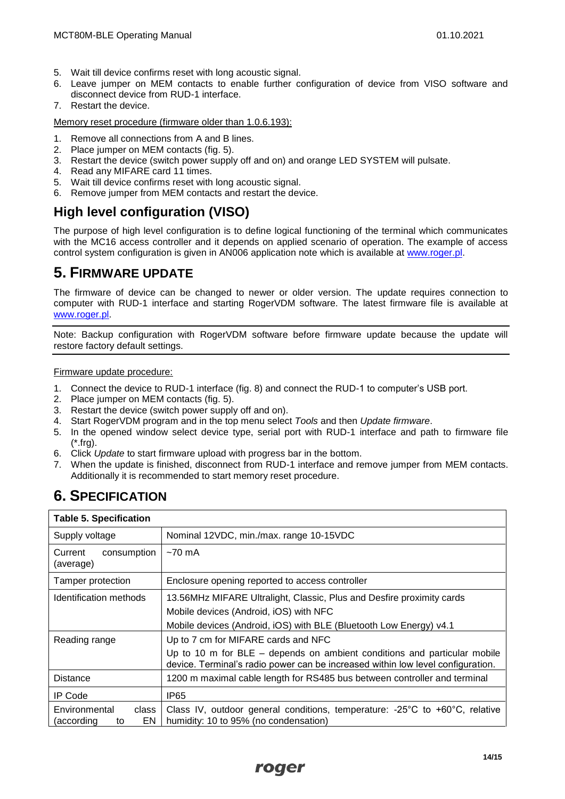- 5. Wait till device confirms reset with long acoustic signal.
- 6. Leave jumper on MEM contacts to enable further configuration of device from VISO software and disconnect device from RUD-1 interface.
- 7. Restart the device.

Memory reset procedure (firmware older than 1.0.6.193):

- 1. Remove all connections from A and B lines.
- 2. Place jumper on MEM contacts (fig. 5).
- 3. Restart the device (switch power supply off and on) and orange LED SYSTEM will pulsate.
- 4. Read any MIFARE card 11 times.
- 5. Wait till device confirms reset with long acoustic signal.
- 6. Remove jumper from MEM contacts and restart the device.

### **High level configuration (VISO)**

The purpose of high level configuration is to define logical functioning of the terminal which communicates with the MC16 access controller and it depends on applied scenario of operation. The example of access control system configuration is given in AN006 application note which is available at [www.roger.pl.](http://www.roger.pl/)

# **5. FIRMWARE UPDATE**

The firmware of device can be changed to newer or older version. The update requires connection to computer with RUD-1 interface and starting RogerVDM software. The latest firmware file is available at [www.roger.pl.](http://www.roger.pl/)

Note: Backup configuration with RogerVDM software before firmware update because the update will restore factory default settings.

Firmware update procedure:

- 1. Connect the device to RUD-1 interface (fig. 8) and connect the RUD-1 to computer's USB port.
- 2. Place jumper on MEM contacts (fig. 5).<br>3. Restart the device (switch power supply
- 3. Restart the device (switch power supply off and on).<br>4. Start RogerVDM program and in the top menu selec
- 4. Start RogerVDM program and in the top menu select *Tools* and then *Update firmware*.
- 5. In the opened window select device type, serial port with RUD-1 interface and path to firmware file (\*.frg).
- 6. Click *Update* to start firmware upload with progress bar in the bottom.
- 7. When the update is finished, disconnect from RUD-1 interface and remove jumper from MEM contacts. Additionally it is recommended to start memory reset procedure.

# **6. SPECIFICATION**

| <b>Table 5. Specification</b>                    |                                                                                                                                                               |  |
|--------------------------------------------------|---------------------------------------------------------------------------------------------------------------------------------------------------------------|--|
| Supply voltage                                   | Nominal 12VDC, min./max. range 10-15VDC                                                                                                                       |  |
| consumption<br>Current<br>(average)              | $~5$ 70 mA                                                                                                                                                    |  |
| Tamper protection                                | Enclosure opening reported to access controller                                                                                                               |  |
| Identification methods                           | 13.56MHz MIFARE Ultralight, Classic, Plus and Desfire proximity cards                                                                                         |  |
|                                                  | Mobile devices (Android, iOS) with NFC                                                                                                                        |  |
|                                                  | Mobile devices (Android, iOS) with BLE (Bluetooth Low Energy) v4.1                                                                                            |  |
| Reading range                                    | Up to 7 cm for MIFARE cards and NFC                                                                                                                           |  |
|                                                  | Up to 10 m for $BLE -$ depends on ambient conditions and particular mobile<br>device. Terminal's radio power can be increased within low level configuration. |  |
| <b>Distance</b>                                  | 1200 m maximal cable length for RS485 bus between controller and terminal                                                                                     |  |
| IP Code                                          | IP65                                                                                                                                                          |  |
| Environmental<br>class<br>EN<br>(according<br>to | Class IV, outdoor general conditions, temperature: -25 $^{\circ}$ C to +60 $^{\circ}$ C, relative<br>humidity: 10 to 95% (no condensation)                    |  |

# roger